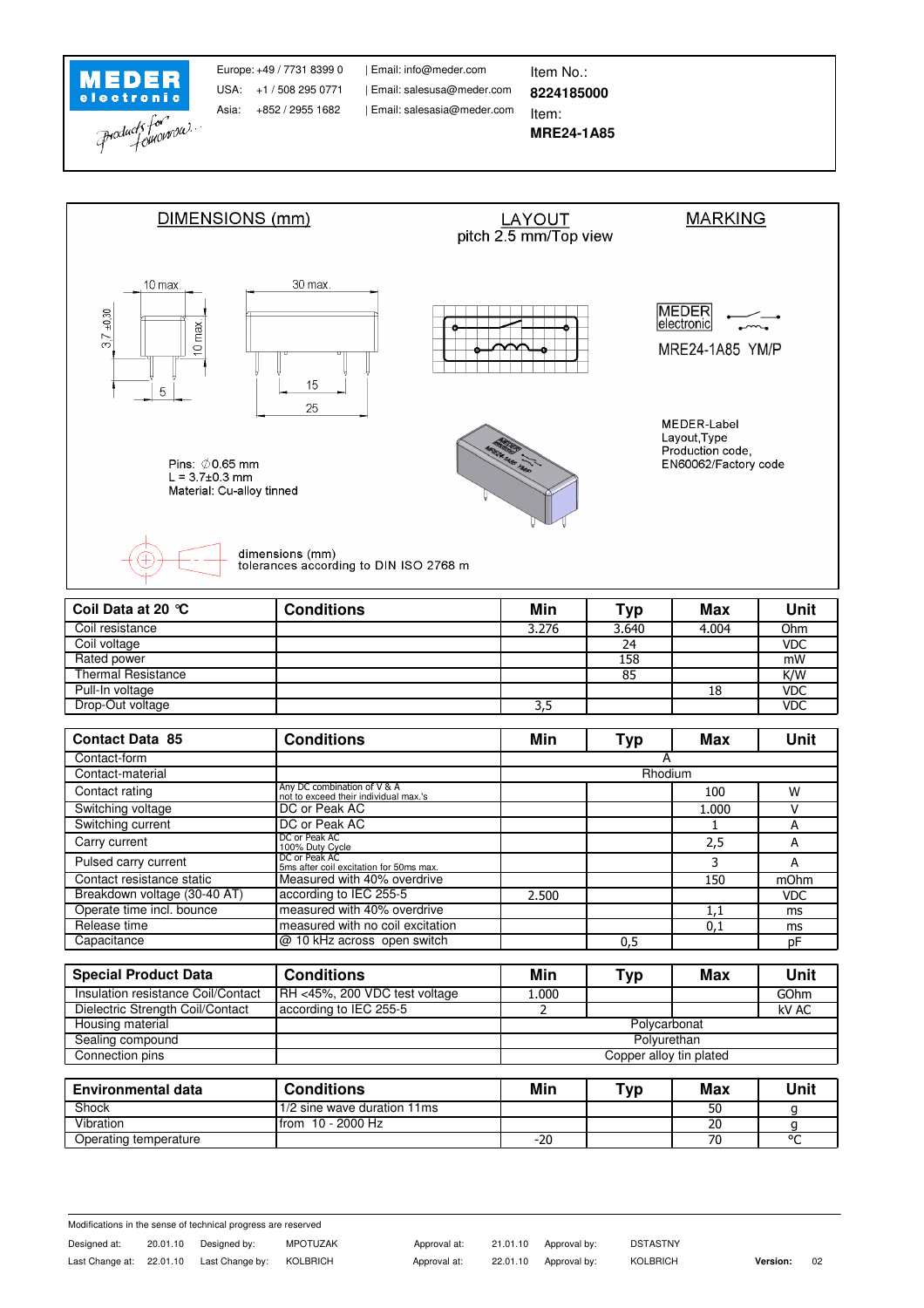

Asia: +852 / 2955 1682

| Email: salesasia@meder.com USA: +1 / 508 295 0771 | Email: salesusa@meder.com Europe: +49 / 7731 8399 0 | Email: info@meder.com | ltem No.:

**MRE24-1A85** Item:

**8224185000**



| Coil Data at 20 °C        | <b>Conditions</b> | Min   | Typ   | Max   | Unit       |
|---------------------------|-------------------|-------|-------|-------|------------|
| Coil resistance           |                   | 3.276 | 3.640 | 4.004 | Ohm        |
| Coil voltage              |                   |       | 24    |       | <b>VDC</b> |
| Rated power               |                   |       | 158   |       | mW         |
| <b>Thermal Resistance</b> |                   |       | 85    |       | K/W        |
| Pull-In voltage           |                   |       |       | 18    | <b>VDC</b> |
| Drop-Out voltage          |                   | 3,5   |       |       | <b>VDC</b> |

| <b>Contact Data 85</b>       | <b>Conditions</b>                                                    | Min     | Typ | <b>Max</b> | <b>Unit</b> |  |
|------------------------------|----------------------------------------------------------------------|---------|-----|------------|-------------|--|
| Contact-form                 |                                                                      |         |     |            |             |  |
| Contact-material             |                                                                      | Rhodium |     |            |             |  |
| Contact rating               | Any DC combination of V & A<br>not to exceed their individual max.'s |         |     | 100        | W           |  |
| Switching voltage            | DC or Peak AC                                                        |         |     | 1.000      |             |  |
| Switching current            | DC or Peak AC                                                        |         |     |            | А           |  |
| Carry current                | DC or Peak AC<br>100% Duty Cycle                                     |         |     | 2,5        | А           |  |
| Pulsed carry current         | DC or Peak AC<br>5ms after coil excitation for 50ms max.             |         |     | 3          | A           |  |
| Contact resistance static    | Measured with 40% overdrive                                          |         |     | 150        | mOhm        |  |
| Breakdown voltage (30-40 AT) | according to IEC 255-5                                               | 2.500   |     |            | <b>VDC</b>  |  |
| Operate time incl. bounce    | measured with 40% overdrive                                          |         |     | 1,1        | ms          |  |
| Release time                 | measured with no coil excitation                                     |         |     | 0,1        | ms          |  |
| Capacitance                  | @ 10 kHz across open switch                                          |         | 0,5 |            | pF          |  |

| <b>Conditions</b>             | Min                     | Typ | Max | Unit  |  |
|-------------------------------|-------------------------|-----|-----|-------|--|
| RH <45%, 200 VDC test voltage | 1.000                   |     |     | GOhm  |  |
| according to IEC 255-5        |                         |     |     | kV AC |  |
|                               | Polycarbonat            |     |     |       |  |
|                               | Polvurethan             |     |     |       |  |
|                               | Copper alloy tin plated |     |     |       |  |
|                               |                         |     |     |       |  |

| <b>Environmental data</b> | <b>Conditions</b>           | Min   | $\mathbf{\tau}_{\mathsf{V}\mathsf{p}}$ | Max | Unit    |
|---------------------------|-----------------------------|-------|----------------------------------------|-----|---------|
| <b>Shock</b>              | 1/2 sine wave duration 11ms |       |                                        | 50  |         |
| Vibration                 | 10 - 2000 Hz<br>l from      |       |                                        | 20  |         |
| Operating temperature     |                             | $-20$ |                                        |     | $\circ$ |